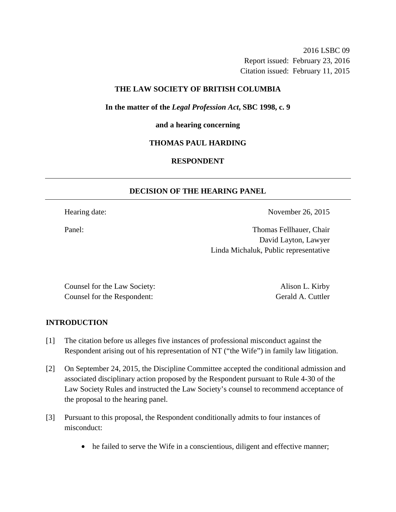2016 LSBC 09 Report issued: February 23, 2016 Citation issued: February 11, 2015

## **THE LAW SOCIETY OF BRITISH COLUMBIA**

**In the matter of the** *Legal Profession Act***, SBC 1998, c. 9** 

**and a hearing concerning** 

# **THOMAS PAUL HARDING**

# **RESPONDENT**

# **DECISION OF THE HEARING PANEL**

Hearing date: November 26, 2015

Panel: Thomas Fellhauer, Chair David Layton, Lawyer Linda Michaluk, Public representative

Counsel for the Law Society: Alison L. Kirby Counsel for the Respondent: Gerald A. Cuttler

## **INTRODUCTION**

- [1] The citation before us alleges five instances of professional misconduct against the Respondent arising out of his representation of NT ("the Wife") in family law litigation.
- [2] On September 24, 2015, the Discipline Committee accepted the conditional admission and associated disciplinary action proposed by the Respondent pursuant to Rule 4-30 of the Law Society Rules and instructed the Law Society's counsel to recommend acceptance of the proposal to the hearing panel.
- [3] Pursuant to this proposal, the Respondent conditionally admits to four instances of misconduct:
	- he failed to serve the Wife in a conscientious, diligent and effective manner;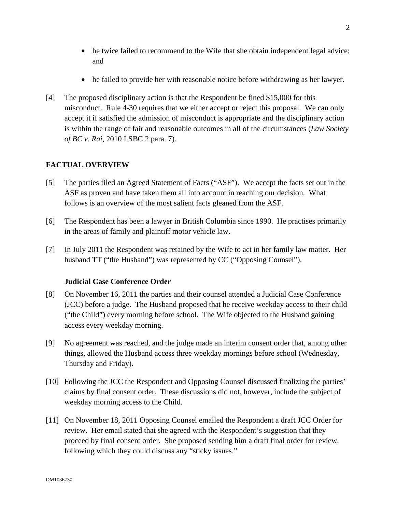- he twice failed to recommend to the Wife that she obtain independent legal advice; and
- he failed to provide her with reasonable notice before withdrawing as her lawyer.
- [4] The proposed disciplinary action is that the Respondent be fined \$15,000 for this misconduct. Rule 4-30 requires that we either accept or reject this proposal. We can only accept it if satisfied the admission of misconduct is appropriate and the disciplinary action is within the range of fair and reasonable outcomes in all of the circumstances (*Law Society of BC v. Rai*, 2010 LSBC 2 para. 7).

# **FACTUAL OVERVIEW**

- [5] The parties filed an Agreed Statement of Facts ("ASF"). We accept the facts set out in the ASF as proven and have taken them all into account in reaching our decision. What follows is an overview of the most salient facts gleaned from the ASF.
- [6] The Respondent has been a lawyer in British Columbia since 1990. He practises primarily in the areas of family and plaintiff motor vehicle law.
- [7] In July 2011 the Respondent was retained by the Wife to act in her family law matter. Her husband TT ("the Husband") was represented by CC ("Opposing Counsel").

# **Judicial Case Conference Order**

- [8] On November 16, 2011 the parties and their counsel attended a Judicial Case Conference (JCC) before a judge. The Husband proposed that he receive weekday access to their child ("the Child") every morning before school. The Wife objected to the Husband gaining access every weekday morning.
- [9] No agreement was reached, and the judge made an interim consent order that, among other things, allowed the Husband access three weekday mornings before school (Wednesday, Thursday and Friday).
- [10] Following the JCC the Respondent and Opposing Counsel discussed finalizing the parties' claims by final consent order. These discussions did not, however, include the subject of weekday morning access to the Child.
- [11] On November 18, 2011 Opposing Counsel emailed the Respondent a draft JCC Order for review. Her email stated that she agreed with the Respondent's suggestion that they proceed by final consent order. She proposed sending him a draft final order for review, following which they could discuss any "sticky issues."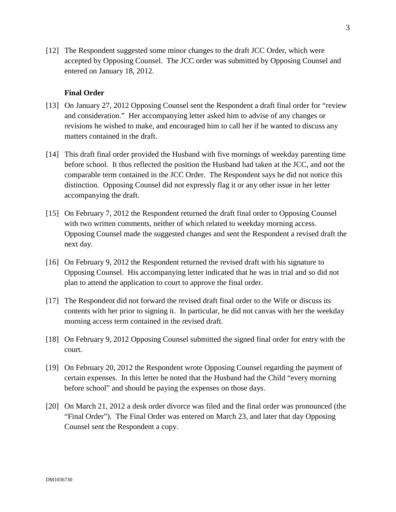[12] The Respondent suggested some minor changes to the draft JCC Order, which were accepted by Opposing Counsel. The JCC order was submitted by Opposing Counsel and entered on January 18, 2012.

## **Final Order**

- [13] On January 27, 2012 Opposing Counsel sent the Respondent a draft final order for "review and consideration." Her accompanying letter asked him to advise of any changes or revisions he wished to make, and encouraged him to call her if he wanted to discuss any matters contained in the draft.
- [14] This draft final order provided the Husband with five mornings of weekday parenting time before school. It thus reflected the position the Husband had taken at the JCC, and not the comparable term contained in the JCC Order. The Respondent says he did not notice this distinction. Opposing Counsel did not expressly flag it or any other issue in her letter accompanying the draft.
- [15] On February 7, 2012 the Respondent returned the draft final order to Opposing Counsel with two written comments, neither of which related to weekday morning access. Opposing Counsel made the suggested changes and sent the Respondent a revised draft the next day.
- [16] On February 9, 2012 the Respondent returned the revised draft with his signature to Opposing Counsel. His accompanying letter indicated that he was in trial and so did not plan to attend the application to court to approve the final order.
- [17] The Respondent did not forward the revised draft final order to the Wife or discuss its contents with her prior to signing it. In particular, he did not canvas with her the weekday morning access term contained in the revised draft.
- [18] On February 9, 2012 Opposing Counsel submitted the signed final order for entry with the court.
- [19] On February 20, 2012 the Respondent wrote Opposing Counsel regarding the payment of certain expenses. In this letter he noted that the Husband had the Child "every morning before school" and should be paying the expenses on those days.
- [20] On March 21, 2012 a desk order divorce was filed and the final order was pronounced (the "Final Order"). The Final Order was entered on March 23, and later that day Opposing Counsel sent the Respondent a copy.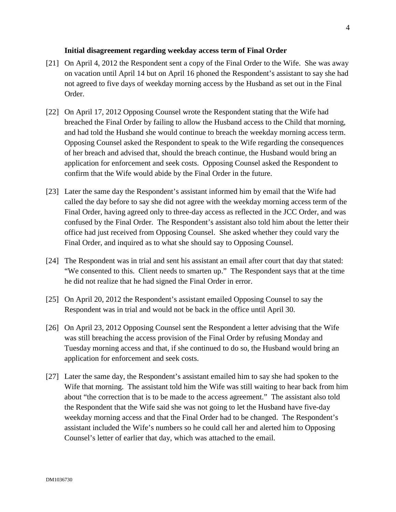### **Initial disagreement regarding weekday access term of Final Order**

- [21] On April 4, 2012 the Respondent sent a copy of the Final Order to the Wife. She was away on vacation until April 14 but on April 16 phoned the Respondent's assistant to say she had not agreed to five days of weekday morning access by the Husband as set out in the Final Order.
- [22] On April 17, 2012 Opposing Counsel wrote the Respondent stating that the Wife had breached the Final Order by failing to allow the Husband access to the Child that morning, and had told the Husband she would continue to breach the weekday morning access term. Opposing Counsel asked the Respondent to speak to the Wife regarding the consequences of her breach and advised that, should the breach continue, the Husband would bring an application for enforcement and seek costs. Opposing Counsel asked the Respondent to confirm that the Wife would abide by the Final Order in the future.
- [23] Later the same day the Respondent's assistant informed him by email that the Wife had called the day before to say she did not agree with the weekday morning access term of the Final Order, having agreed only to three-day access as reflected in the JCC Order, and was confused by the Final Order. The Respondent's assistant also told him about the letter their office had just received from Opposing Counsel. She asked whether they could vary the Final Order, and inquired as to what she should say to Opposing Counsel.
- [24] The Respondent was in trial and sent his assistant an email after court that day that stated: "We consented to this. Client needs to smarten up." The Respondent says that at the time he did not realize that he had signed the Final Order in error.
- [25] On April 20, 2012 the Respondent's assistant emailed Opposing Counsel to say the Respondent was in trial and would not be back in the office until April 30.
- [26] On April 23, 2012 Opposing Counsel sent the Respondent a letter advising that the Wife was still breaching the access provision of the Final Order by refusing Monday and Tuesday morning access and that, if she continued to do so, the Husband would bring an application for enforcement and seek costs.
- [27] Later the same day, the Respondent's assistant emailed him to say she had spoken to the Wife that morning. The assistant told him the Wife was still waiting to hear back from him about "the correction that is to be made to the access agreement." The assistant also told the Respondent that the Wife said she was not going to let the Husband have five-day weekday morning access and that the Final Order had to be changed. The Respondent's assistant included the Wife's numbers so he could call her and alerted him to Opposing Counsel's letter of earlier that day, which was attached to the email.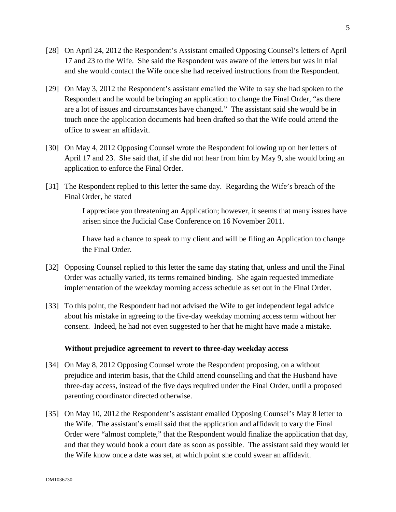- [28] On April 24, 2012 the Respondent's Assistant emailed Opposing Counsel's letters of April 17 and 23 to the Wife. She said the Respondent was aware of the letters but was in trial and she would contact the Wife once she had received instructions from the Respondent.
- [29] On May 3, 2012 the Respondent's assistant emailed the Wife to say she had spoken to the Respondent and he would be bringing an application to change the Final Order, "as there are a lot of issues and circumstances have changed." The assistant said she would be in touch once the application documents had been drafted so that the Wife could attend the office to swear an affidavit.
- [30] On May 4, 2012 Opposing Counsel wrote the Respondent following up on her letters of April 17 and 23. She said that, if she did not hear from him by May 9, she would bring an application to enforce the Final Order.
- [31] The Respondent replied to this letter the same day. Regarding the Wife's breach of the Final Order, he stated

I appreciate you threatening an Application; however, it seems that many issues have arisen since the Judicial Case Conference on 16 November 2011.

I have had a chance to speak to my client and will be filing an Application to change the Final Order.

- [32] Opposing Counsel replied to this letter the same day stating that, unless and until the Final Order was actually varied, its terms remained binding. She again requested immediate implementation of the weekday morning access schedule as set out in the Final Order.
- [33] To this point, the Respondent had not advised the Wife to get independent legal advice about his mistake in agreeing to the five-day weekday morning access term without her consent. Indeed, he had not even suggested to her that he might have made a mistake.

## **Without prejudice agreement to revert to three-day weekday access**

- [34] On May 8, 2012 Opposing Counsel wrote the Respondent proposing, on a without prejudice and interim basis, that the Child attend counselling and that the Husband have three-day access, instead of the five days required under the Final Order, until a proposed parenting coordinator directed otherwise.
- [35] On May 10, 2012 the Respondent's assistant emailed Opposing Counsel's May 8 letter to the Wife. The assistant's email said that the application and affidavit to vary the Final Order were "almost complete," that the Respondent would finalize the application that day, and that they would book a court date as soon as possible. The assistant said they would let the Wife know once a date was set, at which point she could swear an affidavit.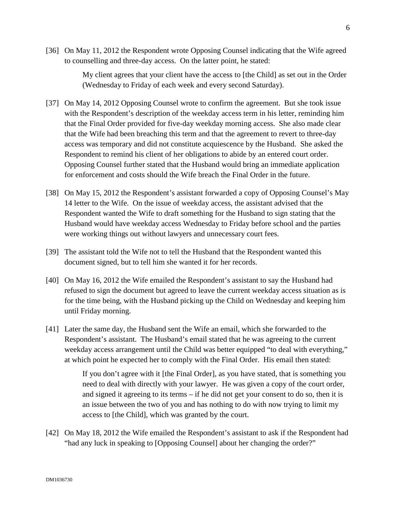[36] On May 11, 2012 the Respondent wrote Opposing Counsel indicating that the Wife agreed to counselling and three-day access. On the latter point, he stated:

> My client agrees that your client have the access to [the Child] as set out in the Order (Wednesday to Friday of each week and every second Saturday).

- [37] On May 14, 2012 Opposing Counsel wrote to confirm the agreement. But she took issue with the Respondent's description of the weekday access term in his letter, reminding him that the Final Order provided for five-day weekday morning access. She also made clear that the Wife had been breaching this term and that the agreement to revert to three-day access was temporary and did not constitute acquiescence by the Husband. She asked the Respondent to remind his client of her obligations to abide by an entered court order. Opposing Counsel further stated that the Husband would bring an immediate application for enforcement and costs should the Wife breach the Final Order in the future.
- [38] On May 15, 2012 the Respondent's assistant forwarded a copy of Opposing Counsel's May 14 letter to the Wife. On the issue of weekday access, the assistant advised that the Respondent wanted the Wife to draft something for the Husband to sign stating that the Husband would have weekday access Wednesday to Friday before school and the parties were working things out without lawyers and unnecessary court fees.
- [39] The assistant told the Wife not to tell the Husband that the Respondent wanted this document signed, but to tell him she wanted it for her records.
- [40] On May 16, 2012 the Wife emailed the Respondent's assistant to say the Husband had refused to sign the document but agreed to leave the current weekday access situation as is for the time being, with the Husband picking up the Child on Wednesday and keeping him until Friday morning.
- [41] Later the same day, the Husband sent the Wife an email, which she forwarded to the Respondent's assistant. The Husband's email stated that he was agreeing to the current weekday access arrangement until the Child was better equipped "to deal with everything," at which point he expected her to comply with the Final Order. His email then stated:

If you don't agree with it [the Final Order], as you have stated, that is something you need to deal with directly with your lawyer. He was given a copy of the court order, and signed it agreeing to its terms – if he did not get your consent to do so, then it is an issue between the two of you and has nothing to do with now trying to limit my access to [the Child], which was granted by the court.

[42] On May 18, 2012 the Wife emailed the Respondent's assistant to ask if the Respondent had "had any luck in speaking to [Opposing Counsel] about her changing the order?"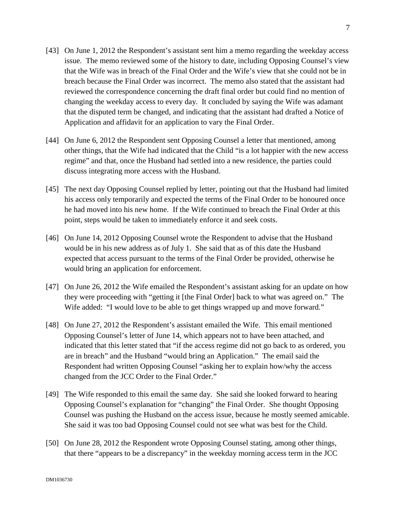- [43] On June 1, 2012 the Respondent's assistant sent him a memo regarding the weekday access issue. The memo reviewed some of the history to date, including Opposing Counsel's view that the Wife was in breach of the Final Order and the Wife's view that she could not be in breach because the Final Order was incorrect. The memo also stated that the assistant had reviewed the correspondence concerning the draft final order but could find no mention of changing the weekday access to every day. It concluded by saying the Wife was adamant that the disputed term be changed, and indicating that the assistant had drafted a Notice of Application and affidavit for an application to vary the Final Order.
- [44] On June 6, 2012 the Respondent sent Opposing Counsel a letter that mentioned, among other things, that the Wife had indicated that the Child "is a lot happier with the new access regime" and that, once the Husband had settled into a new residence, the parties could discuss integrating more access with the Husband.
- [45] The next day Opposing Counsel replied by letter, pointing out that the Husband had limited his access only temporarily and expected the terms of the Final Order to be honoured once he had moved into his new home. If the Wife continued to breach the Final Order at this point, steps would be taken to immediately enforce it and seek costs.
- [46] On June 14, 2012 Opposing Counsel wrote the Respondent to advise that the Husband would be in his new address as of July 1. She said that as of this date the Husband expected that access pursuant to the terms of the Final Order be provided, otherwise he would bring an application for enforcement.
- [47] On June 26, 2012 the Wife emailed the Respondent's assistant asking for an update on how they were proceeding with "getting it [the Final Order] back to what was agreed on." The Wife added: "I would love to be able to get things wrapped up and move forward."
- [48] On June 27, 2012 the Respondent's assistant emailed the Wife. This email mentioned Opposing Counsel's letter of June 14, which appears not to have been attached, and indicated that this letter stated that "if the access regime did not go back to as ordered, you are in breach" and the Husband "would bring an Application." The email said the Respondent had written Opposing Counsel "asking her to explain how/why the access changed from the JCC Order to the Final Order."
- [49] The Wife responded to this email the same day. She said she looked forward to hearing Opposing Counsel's explanation for "changing" the Final Order. She thought Opposing Counsel was pushing the Husband on the access issue, because he mostly seemed amicable. She said it was too bad Opposing Counsel could not see what was best for the Child.
- [50] On June 28, 2012 the Respondent wrote Opposing Counsel stating, among other things, that there "appears to be a discrepancy" in the weekday morning access term in the JCC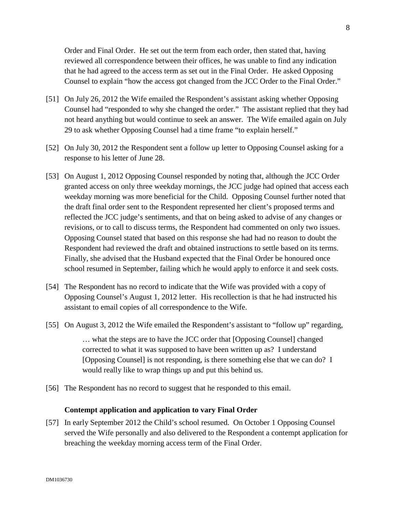Order and Final Order. He set out the term from each order, then stated that, having reviewed all correspondence between their offices, he was unable to find any indication that he had agreed to the access term as set out in the Final Order. He asked Opposing Counsel to explain "how the access got changed from the JCC Order to the Final Order."

- [51] On July 26, 2012 the Wife emailed the Respondent's assistant asking whether Opposing Counsel had "responded to why she changed the order." The assistant replied that they had not heard anything but would continue to seek an answer. The Wife emailed again on July 29 to ask whether Opposing Counsel had a time frame "to explain herself."
- [52] On July 30, 2012 the Respondent sent a follow up letter to Opposing Counsel asking for a response to his letter of June 28.
- [53] On August 1, 2012 Opposing Counsel responded by noting that, although the JCC Order granted access on only three weekday mornings, the JCC judge had opined that access each weekday morning was more beneficial for the Child. Opposing Counsel further noted that the draft final order sent to the Respondent represented her client's proposed terms and reflected the JCC judge's sentiments, and that on being asked to advise of any changes or revisions, or to call to discuss terms, the Respondent had commented on only two issues. Opposing Counsel stated that based on this response she had had no reason to doubt the Respondent had reviewed the draft and obtained instructions to settle based on its terms. Finally, she advised that the Husband expected that the Final Order be honoured once school resumed in September, failing which he would apply to enforce it and seek costs.
- [54] The Respondent has no record to indicate that the Wife was provided with a copy of Opposing Counsel's August 1, 2012 letter. His recollection is that he had instructed his assistant to email copies of all correspondence to the Wife.
- [55] On August 3, 2012 the Wife emailed the Respondent's assistant to "follow up" regarding, … what the steps are to have the JCC order that [Opposing Counsel] changed corrected to what it was supposed to have been written up as? I understand [Opposing Counsel] is not responding, is there something else that we can do? I would really like to wrap things up and put this behind us.
- [56] The Respondent has no record to suggest that he responded to this email.

### **Contempt application and application to vary Final Order**

[57] In early September 2012 the Child's school resumed. On October 1 Opposing Counsel served the Wife personally and also delivered to the Respondent a contempt application for breaching the weekday morning access term of the Final Order.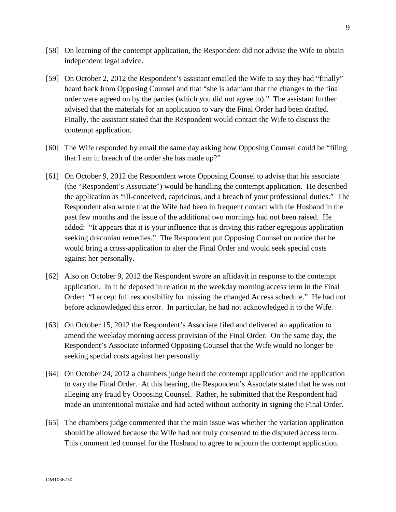- [58] On learning of the contempt application, the Respondent did not advise the Wife to obtain independent legal advice.
- [59] On October 2, 2012 the Respondent's assistant emailed the Wife to say they had "finally" heard back from Opposing Counsel and that "she is adamant that the changes to the final order were agreed on by the parties (which you did not agree to)." The assistant further advised that the materials for an application to vary the Final Order had been drafted. Finally, the assistant stated that the Respondent would contact the Wife to discuss the contempt application.
- [60] The Wife responded by email the same day asking how Opposing Counsel could be "filing that I am in breach of the order she has made up?"
- [61] On October 9, 2012 the Respondent wrote Opposing Counsel to advise that his associate (the "Respondent's Associate") would be handling the contempt application. He described the application as "ill-conceived, capricious, and a breach of your professional duties." The Respondent also wrote that the Wife had been in frequent contact with the Husband in the past few months and the issue of the additional two mornings had not been raised. He added: "It appears that it is your influence that is driving this rather egregious application seeking draconian remedies." The Respondent put Opposing Counsel on notice that he would bring a cross-application to alter the Final Order and would seek special costs against her personally.
- [62] Also on October 9, 2012 the Respondent swore an affidavit in response to the contempt application. In it he deposed in relation to the weekday morning access term in the Final Order: "I accept full responsibility for missing the changed Access schedule." He had not before acknowledged this error. In particular, he had not acknowledged it to the Wife.
- [63] On October 15, 2012 the Respondent's Associate filed and delivered an application to amend the weekday morning access provision of the Final Order. On the same day, the Respondent's Associate informed Opposing Counsel that the Wife would no longer be seeking special costs against her personally.
- [64] On October 24, 2012 a chambers judge heard the contempt application and the application to vary the Final Order. At this hearing, the Respondent's Associate stated that he was not alleging any fraud by Opposing Counsel. Rather, he submitted that the Respondent had made an unintentional mistake and had acted without authority in signing the Final Order.
- [65] The chambers judge commented that the main issue was whether the variation application should be allowed because the Wife had not truly consented to the disputed access term. This comment led counsel for the Husband to agree to adjourn the contempt application.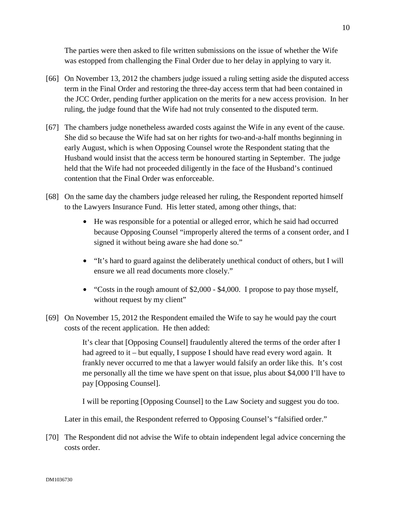The parties were then asked to file written submissions on the issue of whether the Wife was estopped from challenging the Final Order due to her delay in applying to vary it.

- [66] On November 13, 2012 the chambers judge issued a ruling setting aside the disputed access term in the Final Order and restoring the three-day access term that had been contained in the JCC Order, pending further application on the merits for a new access provision. In her ruling, the judge found that the Wife had not truly consented to the disputed term.
- [67] The chambers judge nonetheless awarded costs against the Wife in any event of the cause. She did so because the Wife had sat on her rights for two-and-a-half months beginning in early August, which is when Opposing Counsel wrote the Respondent stating that the Husband would insist that the access term be honoured starting in September. The judge held that the Wife had not proceeded diligently in the face of the Husband's continued contention that the Final Order was enforceable.
- [68] On the same day the chambers judge released her ruling, the Respondent reported himself to the Lawyers Insurance Fund. His letter stated, among other things, that:
	- He was responsible for a potential or alleged error, which he said had occurred because Opposing Counsel "improperly altered the terms of a consent order, and I signed it without being aware she had done so."
	- "It's hard to guard against the deliberately unethical conduct of others, but I will ensure we all read documents more closely."
	- "Costs in the rough amount of \$2,000 \$4,000. I propose to pay those myself, without request by my client"
- [69] On November 15, 2012 the Respondent emailed the Wife to say he would pay the court costs of the recent application. He then added:

It's clear that [Opposing Counsel] fraudulently altered the terms of the order after I had agreed to it – but equally, I suppose I should have read every word again. It frankly never occurred to me that a lawyer would falsify an order like this. It's cost me personally all the time we have spent on that issue, plus about \$4,000 I'll have to pay [Opposing Counsel].

I will be reporting [Opposing Counsel] to the Law Society and suggest you do too.

Later in this email, the Respondent referred to Opposing Counsel's "falsified order."

[70] The Respondent did not advise the Wife to obtain independent legal advice concerning the costs order.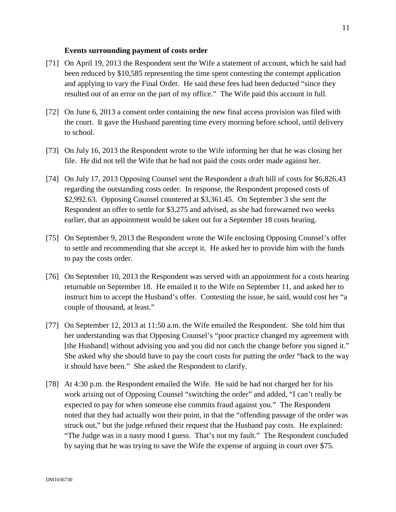### **Events surrounding payment of costs order**

- [71] On April 19, 2013 the Respondent sent the Wife a statement of account, which he said had been reduced by \$10,585 representing the time spent contesting the contempt application and applying to vary the Final Order. He said these fees had been deducted "since they resulted out of an error on the part of my office." The Wife paid this account in full.
- [72] On June 6, 2013 a consent order containing the new final access provision was filed with the court. It gave the Husband parenting time every morning before school, until delivery to school.
- [73] On July 16, 2013 the Respondent wrote to the Wife informing her that he was closing her file. He did not tell the Wife that he had not paid the costs order made against her.
- [74] On July 17, 2013 Opposing Counsel sent the Respondent a draft bill of costs for \$6,826.43 regarding the outstanding costs order. In response, the Respondent proposed costs of \$2,992.63. Opposing Counsel countered at \$3,361.45. On September 3 she sent the Respondent an offer to settle for \$3,275 and advised, as she had forewarned two weeks earlier, that an appointment would be taken out for a September 18 costs hearing.
- [75] On September 9, 2013 the Respondent wrote the Wife enclosing Opposing Counsel's offer to settle and recommending that she accept it. He asked her to provide him with the funds to pay the costs order.
- [76] On September 10, 2013 the Respondent was served with an appointment for a costs hearing returnable on September 18. He emailed it to the Wife on September 11, and asked her to instruct him to accept the Husband's offer. Contesting the issue, he said, would cost her "a couple of thousand, at least."
- [77] On September 12, 2013 at 11:50 a.m. the Wife emailed the Respondent. She told him that her understanding was that Opposing Counsel's "poor practice changed my agreement with [the Husband] without advising you and you did not catch the change before you signed it." She asked why she should have to pay the court costs for putting the order "back to the way it should have been." She asked the Respondent to clarify.
- [78] At 4:30 p.m. the Respondent emailed the Wife. He said he had not charged her for his work arising out of Opposing Counsel "switching the order" and added, "I can't really be expected to pay for when someone else commits fraud against you." The Respondent noted that they had actually won their point, in that the "offending passage of the order was struck out," but the judge refused their request that the Husband pay costs. He explained: "The Judge was in a nasty mood I guess. That's not my fault." The Respondent concluded by saying that he was trying to save the Wife the expense of arguing in court over \$75.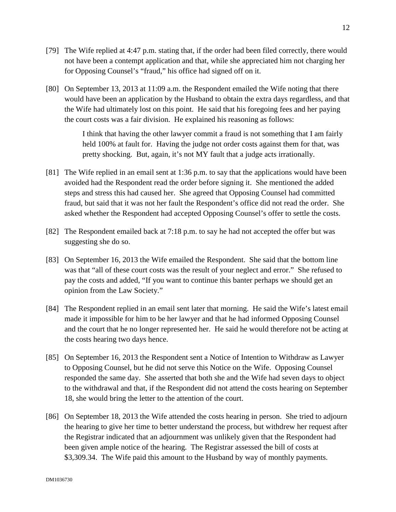- [79] The Wife replied at 4:47 p.m. stating that, if the order had been filed correctly, there would not have been a contempt application and that, while she appreciated him not charging her for Opposing Counsel's "fraud," his office had signed off on it.
- [80] On September 13, 2013 at 11:09 a.m. the Respondent emailed the Wife noting that there would have been an application by the Husband to obtain the extra days regardless, and that the Wife had ultimately lost on this point. He said that his foregoing fees and her paying the court costs was a fair division. He explained his reasoning as follows:

I think that having the other lawyer commit a fraud is not something that I am fairly held 100% at fault for. Having the judge not order costs against them for that, was pretty shocking. But, again, it's not MY fault that a judge acts irrationally.

- [81] The Wife replied in an email sent at 1:36 p.m. to say that the applications would have been avoided had the Respondent read the order before signing it. She mentioned the added steps and stress this had caused her. She agreed that Opposing Counsel had committed fraud, but said that it was not her fault the Respondent's office did not read the order. She asked whether the Respondent had accepted Opposing Counsel's offer to settle the costs.
- [82] The Respondent emailed back at 7:18 p.m. to say he had not accepted the offer but was suggesting she do so.
- [83] On September 16, 2013 the Wife emailed the Respondent. She said that the bottom line was that "all of these court costs was the result of your neglect and error." She refused to pay the costs and added, "If you want to continue this banter perhaps we should get an opinion from the Law Society."
- [84] The Respondent replied in an email sent later that morning. He said the Wife's latest email made it impossible for him to be her lawyer and that he had informed Opposing Counsel and the court that he no longer represented her. He said he would therefore not be acting at the costs hearing two days hence.
- [85] On September 16, 2013 the Respondent sent a Notice of Intention to Withdraw as Lawyer to Opposing Counsel, but he did not serve this Notice on the Wife. Opposing Counsel responded the same day. She asserted that both she and the Wife had seven days to object to the withdrawal and that, if the Respondent did not attend the costs hearing on September 18, she would bring the letter to the attention of the court.
- [86] On September 18, 2013 the Wife attended the costs hearing in person. She tried to adjourn the hearing to give her time to better understand the process, but withdrew her request after the Registrar indicated that an adjournment was unlikely given that the Respondent had been given ample notice of the hearing. The Registrar assessed the bill of costs at \$3,309.34. The Wife paid this amount to the Husband by way of monthly payments.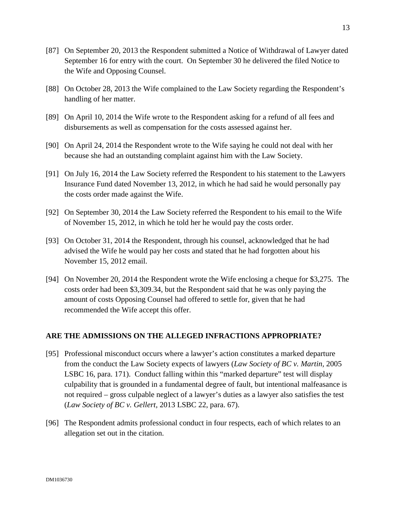- [87] On September 20, 2013 the Respondent submitted a Notice of Withdrawal of Lawyer dated September 16 for entry with the court. On September 30 he delivered the filed Notice to the Wife and Opposing Counsel.
- [88] On October 28, 2013 the Wife complained to the Law Society regarding the Respondent's handling of her matter.
- [89] On April 10, 2014 the Wife wrote to the Respondent asking for a refund of all fees and disbursements as well as compensation for the costs assessed against her.
- [90] On April 24, 2014 the Respondent wrote to the Wife saying he could not deal with her because she had an outstanding complaint against him with the Law Society.
- [91] On July 16, 2014 the Law Society referred the Respondent to his statement to the Lawyers Insurance Fund dated November 13, 2012, in which he had said he would personally pay the costs order made against the Wife.
- [92] On September 30, 2014 the Law Society referred the Respondent to his email to the Wife of November 15, 2012, in which he told her he would pay the costs order.
- [93] On October 31, 2014 the Respondent, through his counsel, acknowledged that he had advised the Wife he would pay her costs and stated that he had forgotten about his November 15, 2012 email.
- [94] On November 20, 2014 the Respondent wrote the Wife enclosing a cheque for \$3,275. The costs order had been \$3,309.34, but the Respondent said that he was only paying the amount of costs Opposing Counsel had offered to settle for, given that he had recommended the Wife accept this offer.

# **ARE THE ADMISSIONS ON THE ALLEGED INFRACTIONS APPROPRIATE?**

- [95] Professional misconduct occurs where a lawyer's action constitutes a marked departure from the conduct the Law Society expects of lawyers (*Law Society of BC v. Martin,* 2005 LSBC 16, para. 171). Conduct falling within this "marked departure" test will display culpability that is grounded in a fundamental degree of fault, but intentional malfeasance is not required – gross culpable neglect of a lawyer's duties as a lawyer also satisfies the test (*Law Society of BC v. Gellert,* 2013 LSBC 22, para. 67).
- [96] The Respondent admits professional conduct in four respects, each of which relates to an allegation set out in the citation.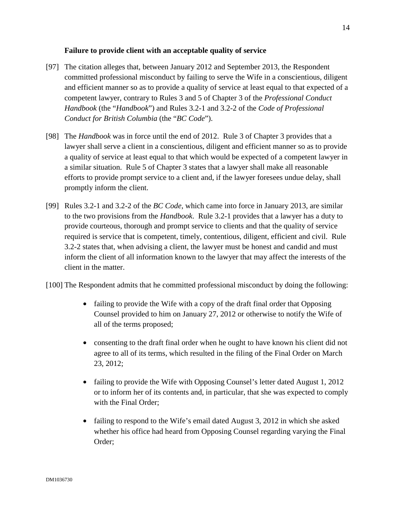## **Failure to provide client with an acceptable quality of service**

- [97] The citation alleges that, between January 2012 and September 2013, the Respondent committed professional misconduct by failing to serve the Wife in a conscientious, diligent and efficient manner so as to provide a quality of service at least equal to that expected of a competent lawyer, contrary to Rules 3 and 5 of Chapter 3 of the *Professional Conduct Handbook* (the "*Handbook*") and Rules 3.2-1 and 3.2-2 of the *Code of Professional Conduct for British Columbia* (the "*BC Code*").
- [98] The *Handbook* was in force until the end of 2012. Rule 3 of Chapter 3 provides that a lawyer shall serve a client in a conscientious, diligent and efficient manner so as to provide a quality of service at least equal to that which would be expected of a competent lawyer in a similar situation. Rule 5 of Chapter 3 states that a lawyer shall make all reasonable efforts to provide prompt service to a client and, if the lawyer foresees undue delay, shall promptly inform the client.
- [99] Rules 3.2-1 and 3.2-2 of the *BC Code*, which came into force in January 2013, are similar to the two provisions from the *Handbook*. Rule 3.2-1 provides that a lawyer has a duty to provide courteous, thorough and prompt service to clients and that the quality of service required is service that is competent, timely, contentious, diligent, efficient and civil. Rule 3.2-2 states that, when advising a client, the lawyer must be honest and candid and must inform the client of all information known to the lawyer that may affect the interests of the client in the matter.
- [100] The Respondent admits that he committed professional misconduct by doing the following:
	- failing to provide the Wife with a copy of the draft final order that Opposing Counsel provided to him on January 27, 2012 or otherwise to notify the Wife of all of the terms proposed;
	- consenting to the draft final order when he ought to have known his client did not agree to all of its terms, which resulted in the filing of the Final Order on March 23, 2012;
	- failing to provide the Wife with Opposing Counsel's letter dated August 1, 2012 or to inform her of its contents and, in particular, that she was expected to comply with the Final Order;
	- failing to respond to the Wife's email dated August 3, 2012 in which she asked whether his office had heard from Opposing Counsel regarding varying the Final Order;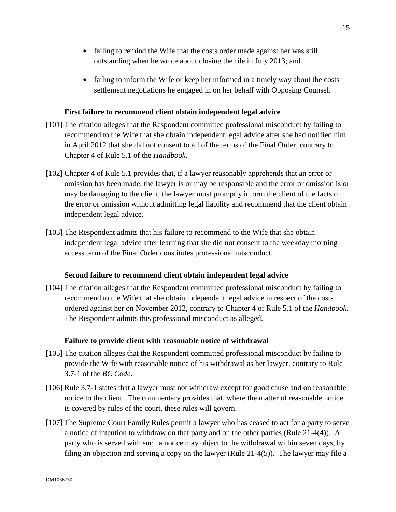- failing to remind the Wife that the costs order made against her was still outstanding when he wrote about closing the file in July 2013; and
- failing to inform the Wife or keep her informed in a timely way about the costs settlement negotiations he engaged in on her behalf with Opposing Counsel.

# **First failure to recommend client obtain independent legal advice**

- [101] The citation alleges that the Respondent committed professional misconduct by failing to recommend to the Wife that she obtain independent legal advice after she had notified him in April 2012 that she did not consent to all of the terms of the Final Order, contrary to Chapter 4 of Rule 5.1 of the *Handbook*.
- [102] Chapter 4 of Rule 5.1 provides that, if a lawyer reasonably apprehends that an error or omission has been made, the lawyer is or may be responsible and the error or omission is or may be damaging to the client, the lawyer must promptly inform the client of the facts of the error or omission without admitting legal liability and recommend that the client obtain independent legal advice.
- [103] The Respondent admits that his failure to recommend to the Wife that she obtain independent legal advice after learning that she did not consent to the weekday morning access term of the Final Order constitutes professional misconduct.

## **Second failure to recommend client obtain independent legal advice**

[104] The citation alleges that the Respondent committed professional misconduct by failing to recommend to the Wife that she obtain independent legal advice in respect of the costs ordered against her on November 2012, contrary to Chapter 4 of Rule 5.1 of the *Handbook*. The Respondent admits this professional misconduct as alleged.

## **Failure to provide client with reasonable notice of withdrawal**

- [105] The citation alleges that the Respondent committed professional misconduct by failing to provide the Wife with reasonable notice of his withdrawal as her lawyer, contrary to Rule 3.7-1 of the *BC Code*.
- [106] Rule 3.7-1 states that a lawyer must not withdraw except for good cause and on reasonable notice to the client. The commentary provides that, where the matter of reasonable notice is covered by rules of the court, these rules will govern.
- [107] The Supreme Court Family Rules permit a lawyer who has ceased to act for a party to serve a notice of intention to withdraw on that party and on the other parties (Rule 21-4(4)). A party who is served with such a notice may object to the withdrawal within seven days, by filing an objection and serving a copy on the lawyer (Rule 21-4(5)). The lawyer may file a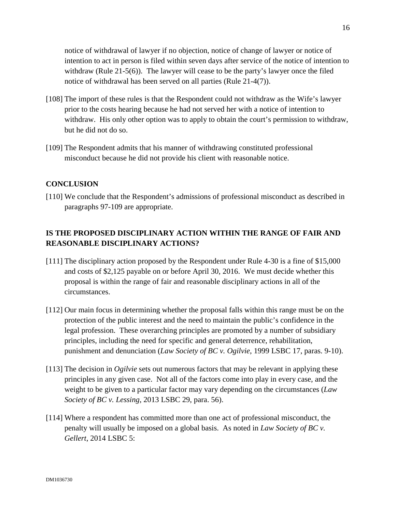notice of withdrawal of lawyer if no objection, notice of change of lawyer or notice of intention to act in person is filed within seven days after service of the notice of intention to withdraw (Rule 21-5(6)). The lawyer will cease to be the party's lawyer once the filed notice of withdrawal has been served on all parties (Rule 21-4(7)).

- [108] The import of these rules is that the Respondent could not withdraw as the Wife's lawyer prior to the costs hearing because he had not served her with a notice of intention to withdraw. His only other option was to apply to obtain the court's permission to withdraw, but he did not do so.
- [109] The Respondent admits that his manner of withdrawing constituted professional misconduct because he did not provide his client with reasonable notice.

# **CONCLUSION**

[110] We conclude that the Respondent's admissions of professional misconduct as described in paragraphs 97-109 are appropriate.

# **IS THE PROPOSED DISCIPLINARY ACTION WITHIN THE RANGE OF FAIR AND REASONABLE DISCIPLINARY ACTIONS?**

- [111] The disciplinary action proposed by the Respondent under Rule 4-30 is a fine of \$15,000 and costs of \$2,125 payable on or before April 30, 2016. We must decide whether this proposal is within the range of fair and reasonable disciplinary actions in all of the circumstances.
- [112] Our main focus in determining whether the proposal falls within this range must be on the protection of the public interest and the need to maintain the public's confidence in the legal profession. These overarching principles are promoted by a number of subsidiary principles, including the need for specific and general deterrence, rehabilitation, punishment and denunciation (*Law Society of BC v. Ogilvie*, 1999 LSBC 17, paras. 9-10).
- [113] The decision in *Ogilvie* sets out numerous factors that may be relevant in applying these principles in any given case. Not all of the factors come into play in every case, and the weight to be given to a particular factor may vary depending on the circumstances (*Law Society of BC v. Lessing*, 2013 LSBC 29, para. 56).
- [114] Where a respondent has committed more than one act of professional misconduct, the penalty will usually be imposed on a global basis. As noted in *Law Society of BC v. Gellert*, 2014 LSBC 5: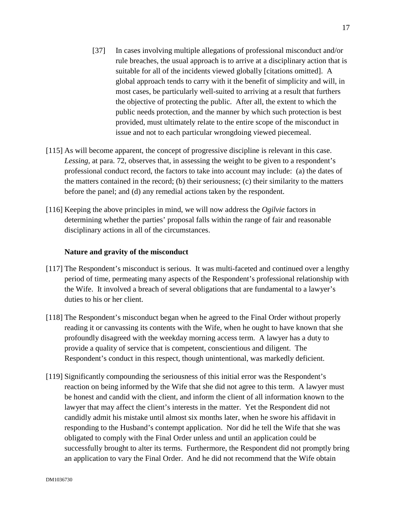- [37] In cases involving multiple allegations of professional misconduct and/or rule breaches, the usual approach is to arrive at a disciplinary action that is suitable for all of the incidents viewed globally [citations omitted]. A global approach tends to carry with it the benefit of simplicity and will, in most cases, be particularly well-suited to arriving at a result that furthers the objective of protecting the public. After all, the extent to which the public needs protection, and the manner by which such protection is best provided, must ultimately relate to the entire scope of the misconduct in issue and not to each particular wrongdoing viewed piecemeal.
- [115] As will become apparent, the concept of progressive discipline is relevant in this case. *Lessing*, at para. 72, observes that, in assessing the weight to be given to a respondent's professional conduct record, the factors to take into account may include: (a) the dates of the matters contained in the record; (b) their seriousness; (c) their similarity to the matters before the panel; and (d) any remedial actions taken by the respondent.
- [116] Keeping the above principles in mind, we will now address the *Ogilvie* factors in determining whether the parties' proposal falls within the range of fair and reasonable disciplinary actions in all of the circumstances.

### **Nature and gravity of the misconduct**

- [117] The Respondent's misconduct is serious. It was multi-faceted and continued over a lengthy period of time, permeating many aspects of the Respondent's professional relationship with the Wife. It involved a breach of several obligations that are fundamental to a lawyer's duties to his or her client.
- [118] The Respondent's misconduct began when he agreed to the Final Order without properly reading it or canvassing its contents with the Wife, when he ought to have known that she profoundly disagreed with the weekday morning access term. A lawyer has a duty to provide a quality of service that is competent, conscientious and diligent. The Respondent's conduct in this respect, though unintentional, was markedly deficient.
- [119] Significantly compounding the seriousness of this initial error was the Respondent's reaction on being informed by the Wife that she did not agree to this term. A lawyer must be honest and candid with the client, and inform the client of all information known to the lawyer that may affect the client's interests in the matter. Yet the Respondent did not candidly admit his mistake until almost six months later, when he swore his affidavit in responding to the Husband's contempt application. Nor did he tell the Wife that she was obligated to comply with the Final Order unless and until an application could be successfully brought to alter its terms. Furthermore, the Respondent did not promptly bring an application to vary the Final Order. And he did not recommend that the Wife obtain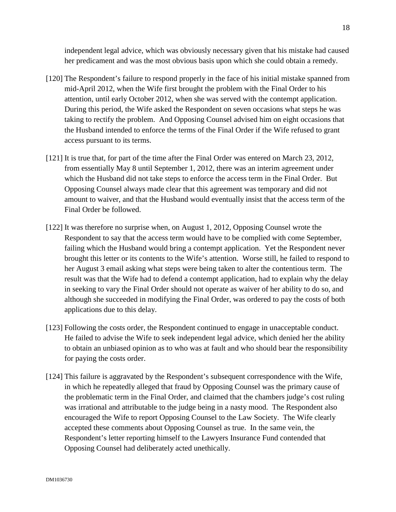independent legal advice, which was obviously necessary given that his mistake had caused her predicament and was the most obvious basis upon which she could obtain a remedy.

- [120] The Respondent's failure to respond properly in the face of his initial mistake spanned from mid-April 2012, when the Wife first brought the problem with the Final Order to his attention, until early October 2012, when she was served with the contempt application. During this period, the Wife asked the Respondent on seven occasions what steps he was taking to rectify the problem. And Opposing Counsel advised him on eight occasions that the Husband intended to enforce the terms of the Final Order if the Wife refused to grant access pursuant to its terms.
- [121] It is true that, for part of the time after the Final Order was entered on March 23, 2012, from essentially May 8 until September 1, 2012, there was an interim agreement under which the Husband did not take steps to enforce the access term in the Final Order. But Opposing Counsel always made clear that this agreement was temporary and did not amount to waiver, and that the Husband would eventually insist that the access term of the Final Order be followed.
- [122] It was therefore no surprise when, on August 1, 2012, Opposing Counsel wrote the Respondent to say that the access term would have to be complied with come September, failing which the Husband would bring a contempt application. Yet the Respondent never brought this letter or its contents to the Wife's attention. Worse still, he failed to respond to her August 3 email asking what steps were being taken to alter the contentious term. The result was that the Wife had to defend a contempt application, had to explain why the delay in seeking to vary the Final Order should not operate as waiver of her ability to do so, and although she succeeded in modifying the Final Order, was ordered to pay the costs of both applications due to this delay.
- [123] Following the costs order, the Respondent continued to engage in unacceptable conduct. He failed to advise the Wife to seek independent legal advice, which denied her the ability to obtain an unbiased opinion as to who was at fault and who should bear the responsibility for paying the costs order.
- [124] This failure is aggravated by the Respondent's subsequent correspondence with the Wife, in which he repeatedly alleged that fraud by Opposing Counsel was the primary cause of the problematic term in the Final Order, and claimed that the chambers judge's cost ruling was irrational and attributable to the judge being in a nasty mood. The Respondent also encouraged the Wife to report Opposing Counsel to the Law Society. The Wife clearly accepted these comments about Opposing Counsel as true. In the same vein, the Respondent's letter reporting himself to the Lawyers Insurance Fund contended that Opposing Counsel had deliberately acted unethically.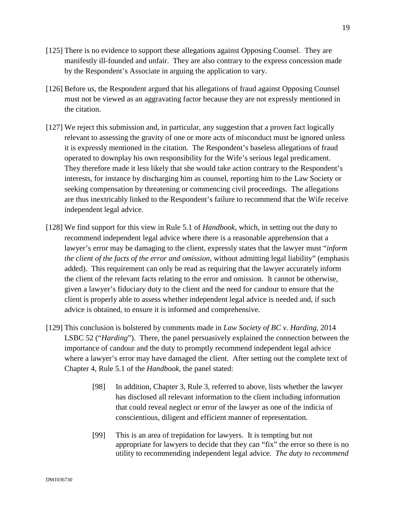- [125] There is no evidence to support these allegations against Opposing Counsel. They are manifestly ill-founded and unfair. They are also contrary to the express concession made by the Respondent's Associate in arguing the application to vary.
- [126] Before us, the Respondent argued that his allegations of fraud against Opposing Counsel must not be viewed as an aggravating factor because they are not expressly mentioned in the citation.
- [127] We reject this submission and, in particular, any suggestion that a proven fact logically relevant to assessing the gravity of one or more acts of misconduct must be ignored unless it is expressly mentioned in the citation. The Respondent's baseless allegations of fraud operated to downplay his own responsibility for the Wife's serious legal predicament. They therefore made it less likely that she would take action contrary to the Respondent's interests, for instance by discharging him as counsel, reporting him to the Law Society or seeking compensation by threatening or commencing civil proceedings. The allegations are thus inextricably linked to the Respondent's failure to recommend that the Wife receive independent legal advice.
- [128] We find support for this view in Rule 5.1 of *Handbook*, which, in setting out the duty to recommend independent legal advice where there is a reasonable apprehension that a lawyer's error may be damaging to the client, expressly states that the lawyer must "*inform the client of the facts of the error and omission*, without admitting legal liability" (emphasis added). This requirement can only be read as requiring that the lawyer accurately inform the client of the relevant facts relating to the error and omission. It cannot be otherwise, given a lawyer's fiduciary duty to the client and the need for candour to ensure that the client is properly able to assess whether independent legal advice is needed and, if such advice is obtained, to ensure it is informed and comprehensive.
- [129] This conclusion is bolstered by comments made in *Law Society of BC v. Harding*, 2014 LSBC 52 ("*Harding*"). There, the panel persuasively explained the connection between the importance of candour and the duty to promptly recommend independent legal advice where a lawyer's error may have damaged the client. After setting out the complete text of Chapter 4, Rule 5.1 of the *Handbook*, the panel stated:
	- [98] In addition, Chapter 3, Rule 3, referred to above, lists whether the lawyer has disclosed all relevant information to the client including information that could reveal neglect or error of the lawyer as one of the indicia of conscientious, diligent and efficient manner of representation.
	- [99] This is an area of trepidation for lawyers. It is tempting but not appropriate for lawyers to decide that they can "fix" the error so there is no utility to recommending independent legal advice. *The duty to recommend*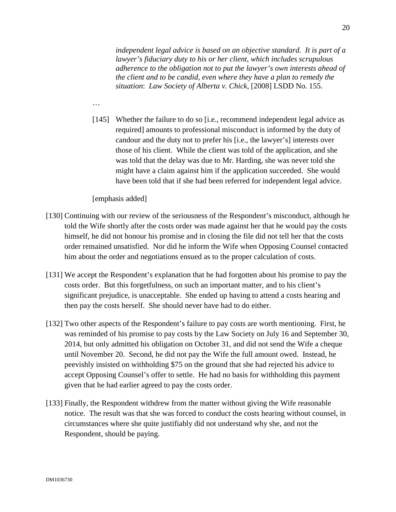*independent legal advice is based on an objective standard. It is part of a lawyer's fiduciary duty to his or her client, which includes scrupulous adherence to the obligation not to put the lawyer's own interests ahead of the client and to be candid, even where they have a plan to remedy the situation*: *Law Society of Alberta v. Chick*, [2008] LSDD No. 155.

[145] Whether the failure to do so [i.e., recommend independent legal advice as required] amounts to professional misconduct is informed by the duty of candour and the duty not to prefer his [i.e., the lawyer's] interests over those of his client. While the client was told of the application, and she was told that the delay was due to Mr. Harding, she was never told she might have a claim against him if the application succeeded. She would have been told that if she had been referred for independent legal advice.

[emphasis added]

…

- [130] Continuing with our review of the seriousness of the Respondent's misconduct, although he told the Wife shortly after the costs order was made against her that he would pay the costs himself, he did not honour his promise and in closing the file did not tell her that the costs order remained unsatisfied. Nor did he inform the Wife when Opposing Counsel contacted him about the order and negotiations ensued as to the proper calculation of costs.
- [131] We accept the Respondent's explanation that he had forgotten about his promise to pay the costs order. But this forgetfulness, on such an important matter, and to his client's significant prejudice, is unacceptable. She ended up having to attend a costs hearing and then pay the costs herself. She should never have had to do either.
- [132] Two other aspects of the Respondent's failure to pay costs are worth mentioning. First, he was reminded of his promise to pay costs by the Law Society on July 16 and September 30, 2014, but only admitted his obligation on October 31, and did not send the Wife a cheque until November 20. Second, he did not pay the Wife the full amount owed. Instead, he peevishly insisted on withholding \$75 on the ground that she had rejected his advice to accept Opposing Counsel's offer to settle. He had no basis for withholding this payment given that he had earlier agreed to pay the costs order.
- [133] Finally, the Respondent withdrew from the matter without giving the Wife reasonable notice. The result was that she was forced to conduct the costs hearing without counsel, in circumstances where she quite justifiably did not understand why she, and not the Respondent, should be paying.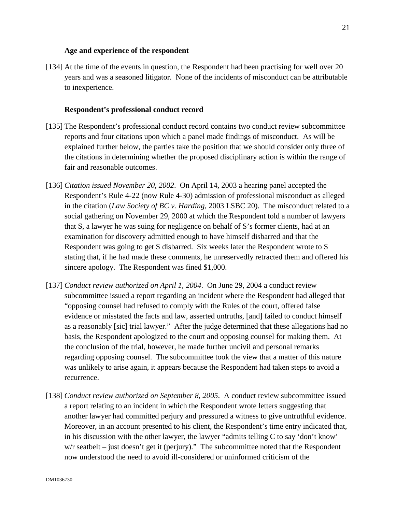### **Age and experience of the respondent**

[134] At the time of the events in question, the Respondent had been practising for well over 20 years and was a seasoned litigator. None of the incidents of misconduct can be attributable to inexperience.

#### **Respondent's professional conduct record**

- [135] The Respondent's professional conduct record contains two conduct review subcommittee reports and four citations upon which a panel made findings of misconduct. As will be explained further below, the parties take the position that we should consider only three of the citations in determining whether the proposed disciplinary action is within the range of fair and reasonable outcomes.
- [136] *Citation issued November 20, 2002*. On April 14, 2003 a hearing panel accepted the Respondent's Rule 4-22 (now Rule 4-30) admission of professional misconduct as alleged in the citation (*Law Society of BC v. Harding*, 2003 LSBC 20). The misconduct related to a social gathering on November 29, 2000 at which the Respondent told a number of lawyers that S, a lawyer he was suing for negligence on behalf of S's former clients, had at an examination for discovery admitted enough to have himself disbarred and that the Respondent was going to get S disbarred. Six weeks later the Respondent wrote to S stating that, if he had made these comments, he unreservedly retracted them and offered his sincere apology. The Respondent was fined \$1,000.
- [137] *Conduct review authorized on April 1, 2004*. On June 29, 2004 a conduct review subcommittee issued a report regarding an incident where the Respondent had alleged that "opposing counsel had refused to comply with the Rules of the court, offered false evidence or misstated the facts and law, asserted untruths, [and] failed to conduct himself as a reasonably [sic] trial lawyer." After the judge determined that these allegations had no basis, the Respondent apologized to the court and opposing counsel for making them. At the conclusion of the trial, however, he made further uncivil and personal remarks regarding opposing counsel. The subcommittee took the view that a matter of this nature was unlikely to arise again, it appears because the Respondent had taken steps to avoid a recurrence.
- [138] *Conduct review authorized on September 8, 2005*. A conduct review subcommittee issued a report relating to an incident in which the Respondent wrote letters suggesting that another lawyer had committed perjury and pressured a witness to give untruthful evidence. Moreover, in an account presented to his client, the Respondent's time entry indicated that, in his discussion with the other lawyer, the lawyer "admits telling C to say 'don't know' w/r seatbelt – just doesn't get it (perjury)." The subcommittee noted that the Respondent now understood the need to avoid ill-considered or uninformed criticism of the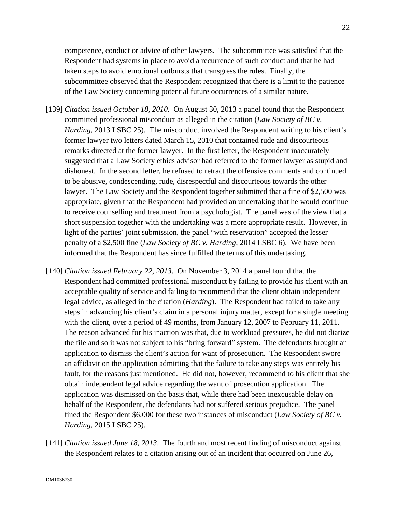competence, conduct or advice of other lawyers. The subcommittee was satisfied that the Respondent had systems in place to avoid a recurrence of such conduct and that he had taken steps to avoid emotional outbursts that transgress the rules. Finally, the subcommittee observed that the Respondent recognized that there is a limit to the patience of the Law Society concerning potential future occurrences of a similar nature.

- [139] *Citation issued October 18, 2010*. On August 30, 2013 a panel found that the Respondent committed professional misconduct as alleged in the citation (*Law Society of BC v. Harding*, 2013 LSBC 25). The misconduct involved the Respondent writing to his client's former lawyer two letters dated March 15, 2010 that contained rude and discourteous remarks directed at the former lawyer. In the first letter, the Respondent inaccurately suggested that a Law Society ethics advisor had referred to the former lawyer as stupid and dishonest. In the second letter, he refused to retract the offensive comments and continued to be abusive, condescending, rude, disrespectful and discourteous towards the other lawyer. The Law Society and the Respondent together submitted that a fine of \$2,500 was appropriate, given that the Respondent had provided an undertaking that he would continue to receive counselling and treatment from a psychologist. The panel was of the view that a short suspension together with the undertaking was a more appropriate result. However, in light of the parties' joint submission, the panel "with reservation" accepted the lesser penalty of a \$2,500 fine (*Law Society of BC v. Harding*, 2014 LSBC 6). We have been informed that the Respondent has since fulfilled the terms of this undertaking.
- [140] *Citation issued February 22, 2013*. On November 3, 2014 a panel found that the Respondent had committed professional misconduct by failing to provide his client with an acceptable quality of service and failing to recommend that the client obtain independent legal advice, as alleged in the citation (*Harding*). The Respondent had failed to take any steps in advancing his client's claim in a personal injury matter, except for a single meeting with the client, over a period of 49 months, from January 12, 2007 to February 11, 2011. The reason advanced for his inaction was that, due to workload pressures, he did not diarize the file and so it was not subject to his "bring forward" system. The defendants brought an application to dismiss the client's action for want of prosecution. The Respondent swore an affidavit on the application admitting that the failure to take any steps was entirely his fault, for the reasons just mentioned. He did not, however, recommend to his client that she obtain independent legal advice regarding the want of prosecution application. The application was dismissed on the basis that, while there had been inexcusable delay on behalf of the Respondent, the defendants had not suffered serious prejudice. The panel fined the Respondent \$6,000 for these two instances of misconduct (*Law Society of BC v. Harding*, 2015 LSBC 25).
- [141] *Citation issued June 18, 2013*. The fourth and most recent finding of misconduct against the Respondent relates to a citation arising out of an incident that occurred on June 26,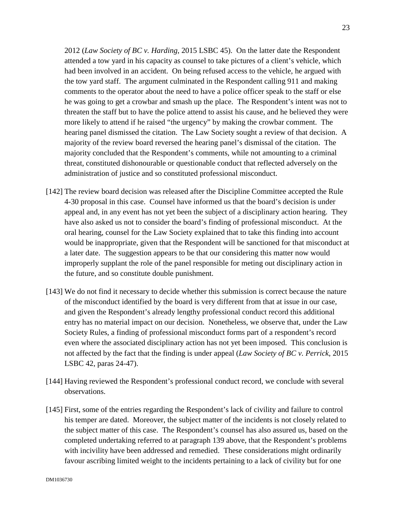2012 (*Law Society of BC v. Harding*, 2015 LSBC 45). On the latter date the Respondent attended a tow yard in his capacity as counsel to take pictures of a client's vehicle, which had been involved in an accident. On being refused access to the vehicle, he argued with the tow yard staff. The argument culminated in the Respondent calling 911 and making comments to the operator about the need to have a police officer speak to the staff or else he was going to get a crowbar and smash up the place. The Respondent's intent was not to threaten the staff but to have the police attend to assist his cause, and he believed they were more likely to attend if he raised "the urgency" by making the crowbar comment. The hearing panel dismissed the citation. The Law Society sought a review of that decision. A majority of the review board reversed the hearing panel's dismissal of the citation. The majority concluded that the Respondent's comments, while not amounting to a criminal threat, constituted dishonourable or questionable conduct that reflected adversely on the administration of justice and so constituted professional misconduct.

- [142] The review board decision was released after the Discipline Committee accepted the Rule 4-30 proposal in this case. Counsel have informed us that the board's decision is under appeal and, in any event has not yet been the subject of a disciplinary action hearing. They have also asked us not to consider the board's finding of professional misconduct. At the oral hearing, counsel for the Law Society explained that to take this finding into account would be inappropriate, given that the Respondent will be sanctioned for that misconduct at a later date. The suggestion appears to be that our considering this matter now would improperly supplant the role of the panel responsible for meting out disciplinary action in the future, and so constitute double punishment.
- [143] We do not find it necessary to decide whether this submission is correct because the nature of the misconduct identified by the board is very different from that at issue in our case, and given the Respondent's already lengthy professional conduct record this additional entry has no material impact on our decision. Nonetheless, we observe that, under the Law Society Rules, a finding of professional misconduct forms part of a respondent's record even where the associated disciplinary action has not yet been imposed. This conclusion is not affected by the fact that the finding is under appeal (*Law Society of BC v. Perrick*, 2015 LSBC 42, paras 24-47).
- [144] Having reviewed the Respondent's professional conduct record, we conclude with several observations.
- [145] First, some of the entries regarding the Respondent's lack of civility and failure to control his temper are dated. Moreover, the subject matter of the incidents is not closely related to the subject matter of this case. The Respondent's counsel has also assured us, based on the completed undertaking referred to at paragraph 139 above, that the Respondent's problems with incivility have been addressed and remedied. These considerations might ordinarily favour ascribing limited weight to the incidents pertaining to a lack of civility but for one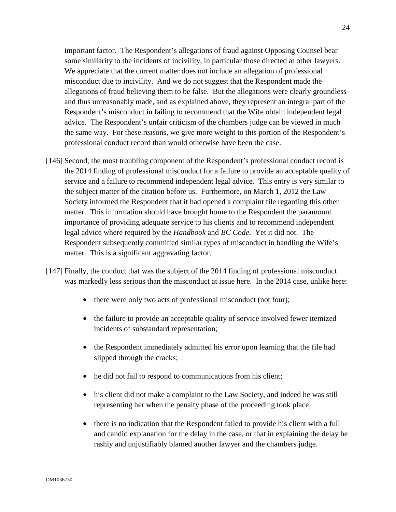important factor. The Respondent's allegations of fraud against Opposing Counsel bear some similarity to the incidents of incivility, in particular those directed at other lawyers. We appreciate that the current matter does not include an allegation of professional misconduct due to incivility. And we do not suggest that the Respondent made the allegations of fraud believing them to be false. But the allegations were clearly groundless and thus unreasonably made, and as explained above, they represent an integral part of the Respondent's misconduct in failing to recommend that the Wife obtain independent legal advice. The Respondent's unfair criticism of the chambers judge can be viewed in much the same way. For these reasons, we give more weight to this portion of the Respondent's professional conduct record than would otherwise have been the case.

- [146] Second, the most troubling component of the Respondent's professional conduct record is the 2014 finding of professional misconduct for a failure to provide an acceptable quality of service and a failure to recommend independent legal advice. This entry is very similar to the subject matter of the citation before us. Furthermore, on March 1, 2012 the Law Society informed the Respondent that it had opened a complaint file regarding this other matter. This information should have brought home to the Respondent the paramount importance of providing adequate service to his clients and to recommend independent legal advice where required by the *Handbook* and *BC Code*. Yet it did not. The Respondent subsequently committed similar types of misconduct in handling the Wife's matter. This is a significant aggravating factor.
- [147] Finally, the conduct that was the subject of the 2014 finding of professional misconduct was markedly less serious than the misconduct at issue here. In the 2014 case, unlike here:
	- there were only two acts of professional misconduct (not four);
	- the failure to provide an acceptable quality of service involved fewer itemized incidents of substandard representation;
	- the Respondent immediately admitted his error upon learning that the file had slipped through the cracks;
	- he did not fail to respond to communications from his client;
	- his client did not make a complaint to the Law Society, and indeed he was still representing her when the penalty phase of the proceeding took place;
	- there is no indication that the Respondent failed to provide his client with a full and candid explanation for the delay in the case, or that in explaining the delay he rashly and unjustifiably blamed another lawyer and the chambers judge.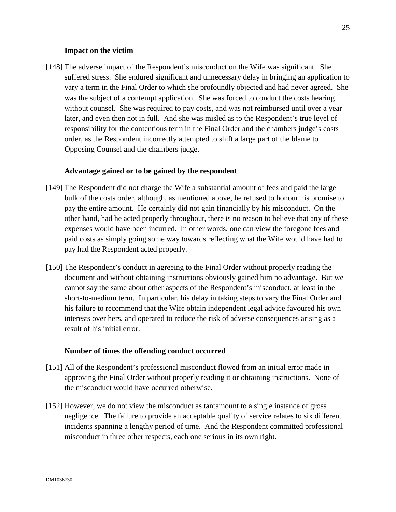### **Impact on the victim**

[148] The adverse impact of the Respondent's misconduct on the Wife was significant. She suffered stress. She endured significant and unnecessary delay in bringing an application to vary a term in the Final Order to which she profoundly objected and had never agreed. She was the subject of a contempt application. She was forced to conduct the costs hearing without counsel. She was required to pay costs, and was not reimbursed until over a year later, and even then not in full. And she was misled as to the Respondent's true level of responsibility for the contentious term in the Final Order and the chambers judge's costs order, as the Respondent incorrectly attempted to shift a large part of the blame to Opposing Counsel and the chambers judge.

### **Advantage gained or to be gained by the respondent**

- [149] The Respondent did not charge the Wife a substantial amount of fees and paid the large bulk of the costs order, although, as mentioned above, he refused to honour his promise to pay the entire amount. He certainly did not gain financially by his misconduct. On the other hand, had he acted properly throughout, there is no reason to believe that any of these expenses would have been incurred. In other words, one can view the foregone fees and paid costs as simply going some way towards reflecting what the Wife would have had to pay had the Respondent acted properly.
- [150] The Respondent's conduct in agreeing to the Final Order without properly reading the document and without obtaining instructions obviously gained him no advantage. But we cannot say the same about other aspects of the Respondent's misconduct, at least in the short-to-medium term. In particular, his delay in taking steps to vary the Final Order and his failure to recommend that the Wife obtain independent legal advice favoured his own interests over hers, and operated to reduce the risk of adverse consequences arising as a result of his initial error.

#### **Number of times the offending conduct occurred**

- [151] All of the Respondent's professional misconduct flowed from an initial error made in approving the Final Order without properly reading it or obtaining instructions. None of the misconduct would have occurred otherwise.
- [152] However, we do not view the misconduct as tantamount to a single instance of gross negligence. The failure to provide an acceptable quality of service relates to six different incidents spanning a lengthy period of time. And the Respondent committed professional misconduct in three other respects, each one serious in its own right.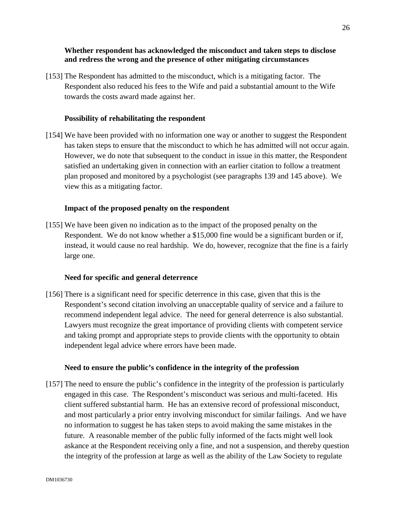## **Whether respondent has acknowledged the misconduct and taken steps to disclose and redress the wrong and the presence of other mitigating circumstances**

[153] The Respondent has admitted to the misconduct, which is a mitigating factor. The Respondent also reduced his fees to the Wife and paid a substantial amount to the Wife towards the costs award made against her.

# **Possibility of rehabilitating the respondent**

[154] We have been provided with no information one way or another to suggest the Respondent has taken steps to ensure that the misconduct to which he has admitted will not occur again. However, we do note that subsequent to the conduct in issue in this matter, the Respondent satisfied an undertaking given in connection with an earlier citation to follow a treatment plan proposed and monitored by a psychologist (see paragraphs 139 and 145 above). We view this as a mitigating factor.

# **Impact of the proposed penalty on the respondent**

[155] We have been given no indication as to the impact of the proposed penalty on the Respondent. We do not know whether a \$15,000 fine would be a significant burden or if, instead, it would cause no real hardship. We do, however, recognize that the fine is a fairly large one.

## **Need for specific and general deterrence**

[156] There is a significant need for specific deterrence in this case, given that this is the Respondent's second citation involving an unacceptable quality of service and a failure to recommend independent legal advice. The need for general deterrence is also substantial. Lawyers must recognize the great importance of providing clients with competent service and taking prompt and appropriate steps to provide clients with the opportunity to obtain independent legal advice where errors have been made.

## **Need to ensure the public's confidence in the integrity of the profession**

[157] The need to ensure the public's confidence in the integrity of the profession is particularly engaged in this case. The Respondent's misconduct was serious and multi-faceted. His client suffered substantial harm. He has an extensive record of professional misconduct, and most particularly a prior entry involving misconduct for similar failings. And we have no information to suggest he has taken steps to avoid making the same mistakes in the future. A reasonable member of the public fully informed of the facts might well look askance at the Respondent receiving only a fine, and not a suspension, and thereby question the integrity of the profession at large as well as the ability of the Law Society to regulate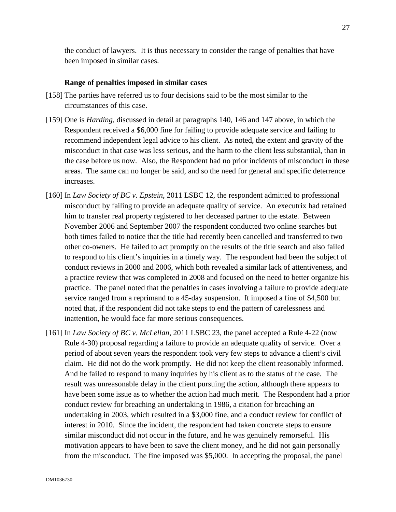the conduct of lawyers. It is thus necessary to consider the range of penalties that have been imposed in similar cases.

## **Range of penalties imposed in similar cases**

- [158] The parties have referred us to four decisions said to be the most similar to the circumstances of this case.
- [159] One is *Harding*, discussed in detail at paragraphs 140, 146 and 147 above, in which the Respondent received a \$6,000 fine for failing to provide adequate service and failing to recommend independent legal advice to his client. As noted, the extent and gravity of the misconduct in that case was less serious, and the harm to the client less substantial, than in the case before us now. Also, the Respondent had no prior incidents of misconduct in these areas. The same can no longer be said, and so the need for general and specific deterrence increases.
- [160] In *Law Society of BC v. Epstein*, 2011 LSBC 12, the respondent admitted to professional misconduct by failing to provide an adequate quality of service. An executrix had retained him to transfer real property registered to her deceased partner to the estate. Between November 2006 and September 2007 the respondent conducted two online searches but both times failed to notice that the title had recently been cancelled and transferred to two other co-owners. He failed to act promptly on the results of the title search and also failed to respond to his client's inquiries in a timely way. The respondent had been the subject of conduct reviews in 2000 and 2006, which both revealed a similar lack of attentiveness, and a practice review that was completed in 2008 and focused on the need to better organize his practice. The panel noted that the penalties in cases involving a failure to provide adequate service ranged from a reprimand to a 45-day suspension. It imposed a fine of \$4,500 but noted that, if the respondent did not take steps to end the pattern of carelessness and inattention, he would face far more serious consequences.
- [161] In *Law Society of BC v. McLellan*, 2011 LSBC 23, the panel accepted a Rule 4-22 (now Rule 4-30) proposal regarding a failure to provide an adequate quality of service. Over a period of about seven years the respondent took very few steps to advance a client's civil claim. He did not do the work promptly. He did not keep the client reasonably informed. And he failed to respond to many inquiries by his client as to the status of the case. The result was unreasonable delay in the client pursuing the action, although there appears to have been some issue as to whether the action had much merit. The Respondent had a prior conduct review for breaching an undertaking in 1986, a citation for breaching an undertaking in 2003, which resulted in a \$3,000 fine, and a conduct review for conflict of interest in 2010. Since the incident, the respondent had taken concrete steps to ensure similar misconduct did not occur in the future, and he was genuinely remorseful. His motivation appears to have been to save the client money, and he did not gain personally from the misconduct. The fine imposed was \$5,000. In accepting the proposal, the panel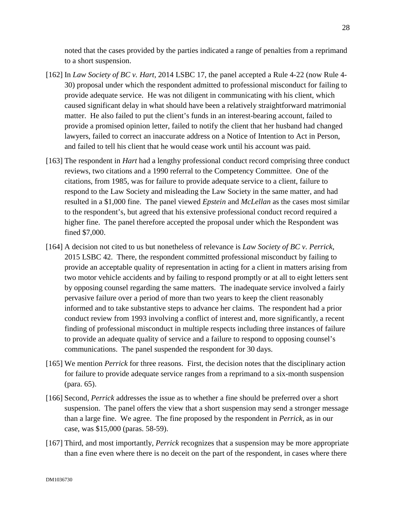noted that the cases provided by the parties indicated a range of penalties from a reprimand to a short suspension.

- [162] In *Law Society of BC v. Hart*, 2014 LSBC 17, the panel accepted a Rule 4-22 (now Rule 4- 30) proposal under which the respondent admitted to professional misconduct for failing to provide adequate service. He was not diligent in communicating with his client, which caused significant delay in what should have been a relatively straightforward matrimonial matter. He also failed to put the client's funds in an interest-bearing account, failed to provide a promised opinion letter, failed to notify the client that her husband had changed lawyers, failed to correct an inaccurate address on a Notice of Intention to Act in Person, and failed to tell his client that he would cease work until his account was paid.
- [163] The respondent in *Hart* had a lengthy professional conduct record comprising three conduct reviews, two citations and a 1990 referral to the Competency Committee. One of the citations, from 1985, was for failure to provide adequate service to a client, failure to respond to the Law Society and misleading the Law Society in the same matter, and had resulted in a \$1,000 fine. The panel viewed *Epstein* and *McLellan* as the cases most similar to the respondent's, but agreed that his extensive professional conduct record required a higher fine. The panel therefore accepted the proposal under which the Respondent was fined \$7,000.
- [164] A decision not cited to us but nonetheless of relevance is *Law Society of BC v. Perrick*, 2015 LSBC 42. There, the respondent committed professional misconduct by failing to provide an acceptable quality of representation in acting for a client in matters arising from two motor vehicle accidents and by failing to respond promptly or at all to eight letters sent by opposing counsel regarding the same matters. The inadequate service involved a fairly pervasive failure over a period of more than two years to keep the client reasonably informed and to take substantive steps to advance her claims. The respondent had a prior conduct review from 1993 involving a conflict of interest and, more significantly, a recent finding of professional misconduct in multiple respects including three instances of failure to provide an adequate quality of service and a failure to respond to opposing counsel's communications. The panel suspended the respondent for 30 days.
- [165] We mention *Perrick* for three reasons. First, the decision notes that the disciplinary action for failure to provide adequate service ranges from a reprimand to a six-month suspension (para. 65).
- [166] Second, *Perrick* addresses the issue as to whether a fine should be preferred over a short suspension. The panel offers the view that a short suspension may send a stronger message than a large fine. We agree. The fine proposed by the respondent in *Perrick*, as in our case, was \$15,000 (paras. 58-59).
- [167] Third, and most importantly, *Perrick* recognizes that a suspension may be more appropriate than a fine even where there is no deceit on the part of the respondent, in cases where there